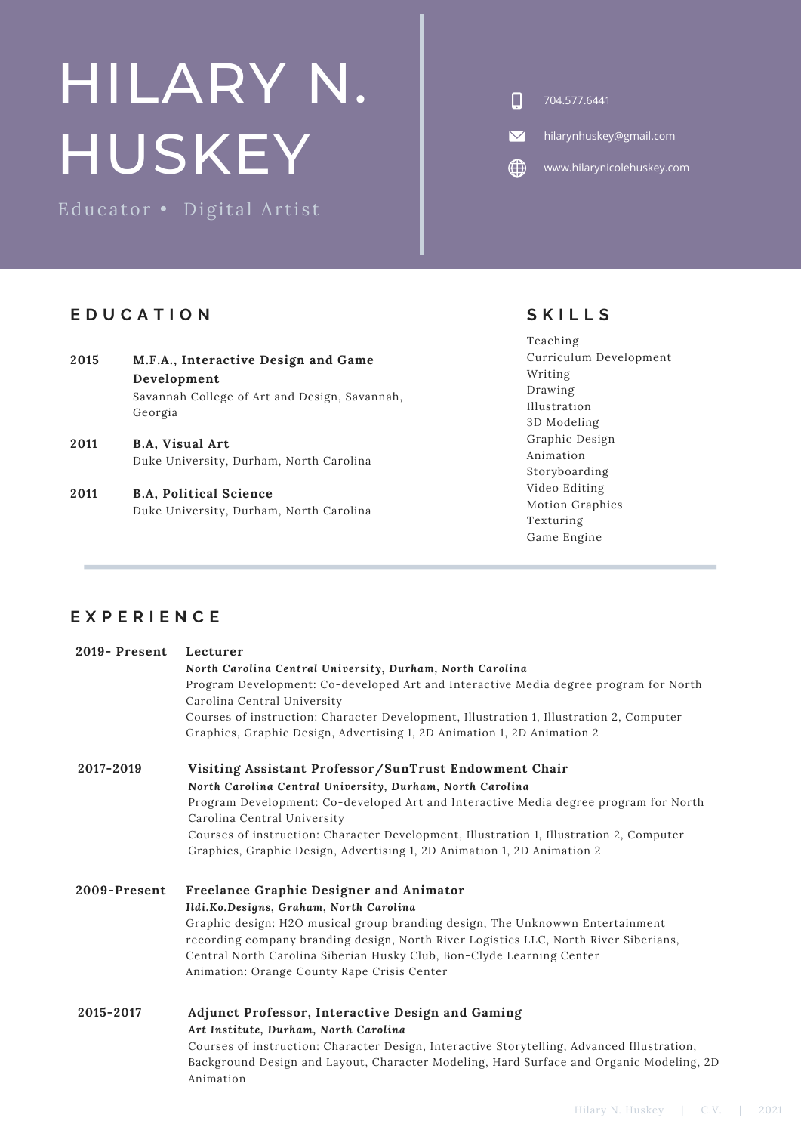# HILARY N. HUSKEY

Educator • Digital Artist

## **E D U C A T I O N**

- **M.F.A., Interactive Design and Game Development** Savannah College of Art and Design, Savannah, Georgia **2015 B.A, Visual Art** Duke University, Durham, North Carolina **2011**
- **B.A, Political Science** Duke University, Durham, North Carolina **2011**

Animation

 $\Box$ 704.577.6441

 $\boldsymbol{\nabla}$ hilarynhuskey@gmail.com

 $\bigoplus$ www.hilarynicolehuskey.com

## **S K I L L S**

Teaching Curriculum Development Writing Drawing Illustration 3D Modeling Graphic Design Animation Storyboarding Video Editing Motion Graphics Texturing Game Engine

## **E X P E R I E N C E**

| 2019-Present | Lecturer                                                                                   |
|--------------|--------------------------------------------------------------------------------------------|
|              | North Carolina Central University, Durham, North Carolina                                  |
|              | Program Development: Co-developed Art and Interactive Media degree program for North       |
|              | Carolina Central University                                                                |
|              | Courses of instruction: Character Development, Illustration 1, Illustration 2, Computer    |
|              | Graphics, Graphic Design, Advertising 1, 2D Animation 1, 2D Animation 2                    |
| 2017-2019    | Visiting Assistant Professor/SunTrust Endowment Chair                                      |
|              | North Carolina Central University, Durham, North Carolina                                  |
|              | Program Development: Co-developed Art and Interactive Media degree program for North       |
|              | Carolina Central University                                                                |
|              | Courses of instruction: Character Development, Illustration 1, Illustration 2, Computer    |
|              | Graphics, Graphic Design, Advertising 1, 2D Animation 1, 2D Animation 2                    |
| 2009-Present | Freelance Graphic Designer and Animator                                                    |
|              | Ildi.Ko.Designs, Graham, North Carolina                                                    |
|              | Graphic design: H2O musical group branding design, The Unknowwn Entertainment              |
|              | recording company branding design, North River Logistics LLC, North River Siberians,       |
|              | Central North Carolina Siberian Husky Club, Bon-Clyde Learning Center                      |
|              | Animation: Orange County Rape Crisis Center                                                |
| 2015-2017    | Adjunct Professor, Interactive Design and Gaming                                           |
|              | Art Institute, Durham, North Carolina                                                      |
|              | Courses of instruction: Character Design, Interactive Storytelling, Advanced Illustration, |
|              | Background Design and Layout, Character Modeling, Hard Surface and Organic Modeling, 2D    |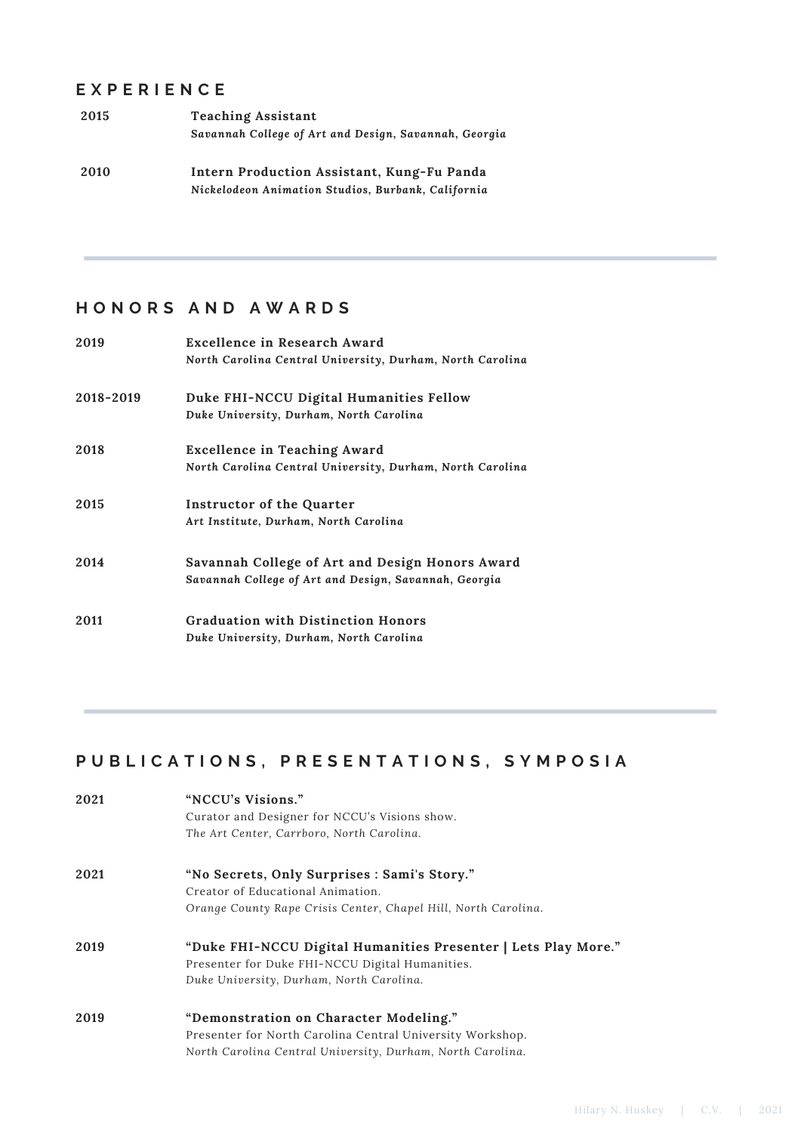#### **E X P E R I E N C E**

| 2015 | <b>Teaching Assistant</b>                             |
|------|-------------------------------------------------------|
|      | Savannah College of Art and Design, Savannah, Georgia |
| 2010 | Intern Production Assistant, Kung-Fu Panda            |
|      | Nickelodeon Animation Studios, Burbank, California    |

### **H O N O R S A N D A W A R D S**

| 2019      | Excellence in Research Award                              |
|-----------|-----------------------------------------------------------|
|           | North Carolina Central University, Durham, North Carolina |
| 2018-2019 | Duke FHI-NCCU Digital Humanities Fellow                   |
|           | Duke University, Durham, North Carolina                   |
| 2018      | <b>Excellence in Teaching Award</b>                       |
|           | North Carolina Central University, Durham, North Carolina |
| 2015      | Instructor of the Quarter                                 |
|           | Art Institute, Durham, North Carolina                     |
| 2014      | Savannah College of Art and Design Honors Award           |
|           | Savannah College of Art and Design, Savannah, Georgia     |
| 2011      | <b>Graduation with Distinction Honors</b>                 |
|           | Duke University, Durham, North Carolina                   |

## PUBLICATIONS, PRESENTATIONS, SYMPOSIA

| 2021 | "NCCU's Visions."                                              |
|------|----------------------------------------------------------------|
|      | Curator and Designer for NCCU's Visions show.                  |
|      | The Art Center, Carrboro, North Carolina.                      |
| 2021 | "No Secrets, Only Surprises : Sami's Story."                   |
|      | Creator of Educational Animation.                              |
|      | Orange County Rape Crisis Center, Chapel Hill, North Carolina. |
| 2019 | "Duke FHI-NCCU Digital Humanities Presenter   Lets Play More." |
|      | Presenter for Duke FHI-NCCU Digital Humanities.                |
|      | Duke University, Durham, North Carolina.                       |
| 2019 | "Demonstration on Character Modeling."                         |
|      | Presenter for North Carolina Central University Workshop.      |
|      | North Carolina Central University, Durham, North Carolina.     |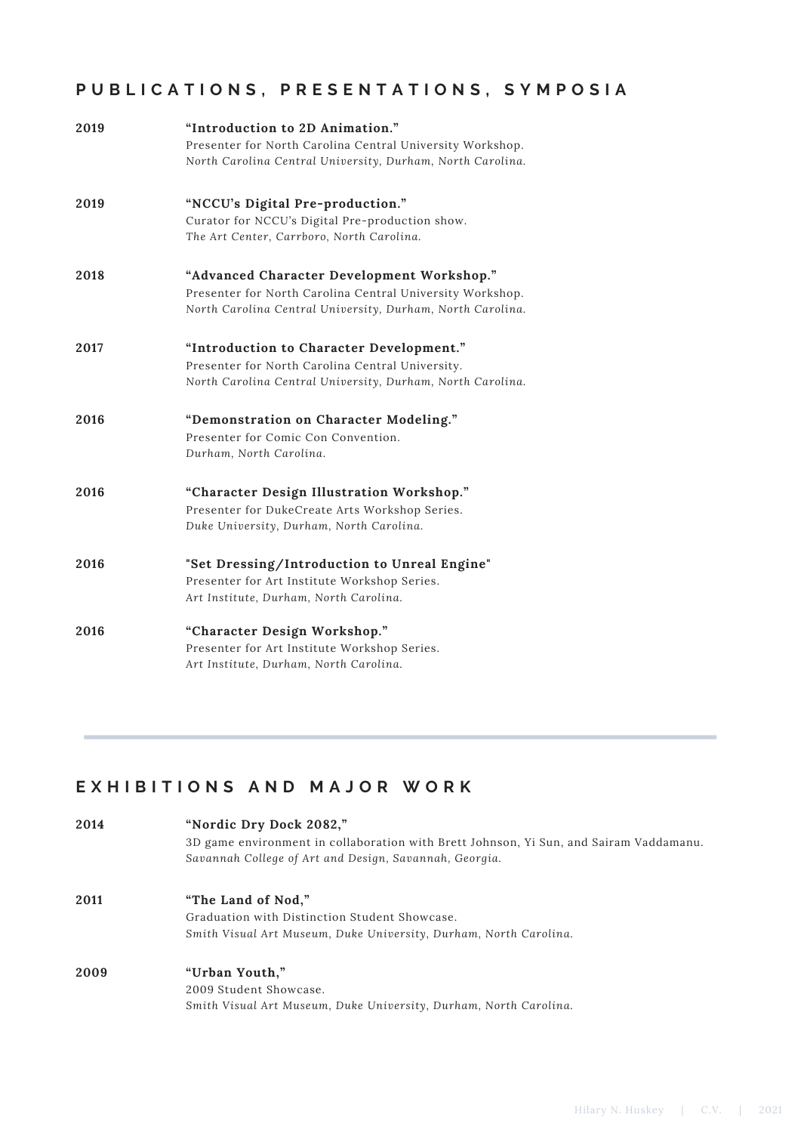# PUBLICATIONS, PRESENTATIONS, SYMPOSIA

| 2019 | "Introduction to 2D Animation."<br>Presenter for North Carolina Central University Workshop.<br>North Carolina Central University, Durham, North Carolina.            |
|------|-----------------------------------------------------------------------------------------------------------------------------------------------------------------------|
| 2019 | "NCCU's Digital Pre-production."<br>Curator for NCCU's Digital Pre-production show.<br>The Art Center, Carrboro, North Carolina.                                      |
| 2018 | "Advanced Character Development Workshop."<br>Presenter for North Carolina Central University Workshop.<br>North Carolina Central University, Durham, North Carolina. |
| 2017 | "Introduction to Character Development."<br>Presenter for North Carolina Central University.<br>North Carolina Central University, Durham, North Carolina.            |
| 2016 | "Demonstration on Character Modeling."<br>Presenter for Comic Con Convention.<br>Durham, North Carolina.                                                              |
| 2016 | "Character Design Illustration Workshop."<br>Presenter for DukeCreate Arts Workshop Series.<br>Duke University, Durham, North Carolina.                               |
| 2016 | "Set Dressing/Introduction to Unreal Engine"<br>Presenter for Art Institute Workshop Series.<br>Art Institute, Durham, North Carolina.                                |
| 2016 | "Character Design Workshop."<br>Presenter for Art Institute Workshop Series.<br>Art Institute, Durham, North Carolina.                                                |

# **E X H I B I T I O N S A N D M A J O R W O R K**

| 2014 | "Nordic Dry Dock 2082,"                                                                |  |
|------|----------------------------------------------------------------------------------------|--|
|      | 3D game environment in collaboration with Brett Johnson, Yi Sun, and Sairam Vaddamanu. |  |
|      | Savannah College of Art and Design, Savannah, Georgia.                                 |  |
| 2011 | "The Land of Nod."                                                                     |  |
|      | Graduation with Distinction Student Showcase.                                          |  |
|      | Smith Visual Art Museum, Duke University, Durham, North Carolina.                      |  |
| 2009 | "Urban Youth,"                                                                         |  |
|      | 2009 Student Showcase.                                                                 |  |
|      | Smith Visual Art Museum, Duke University, Durham, North Carolina.                      |  |